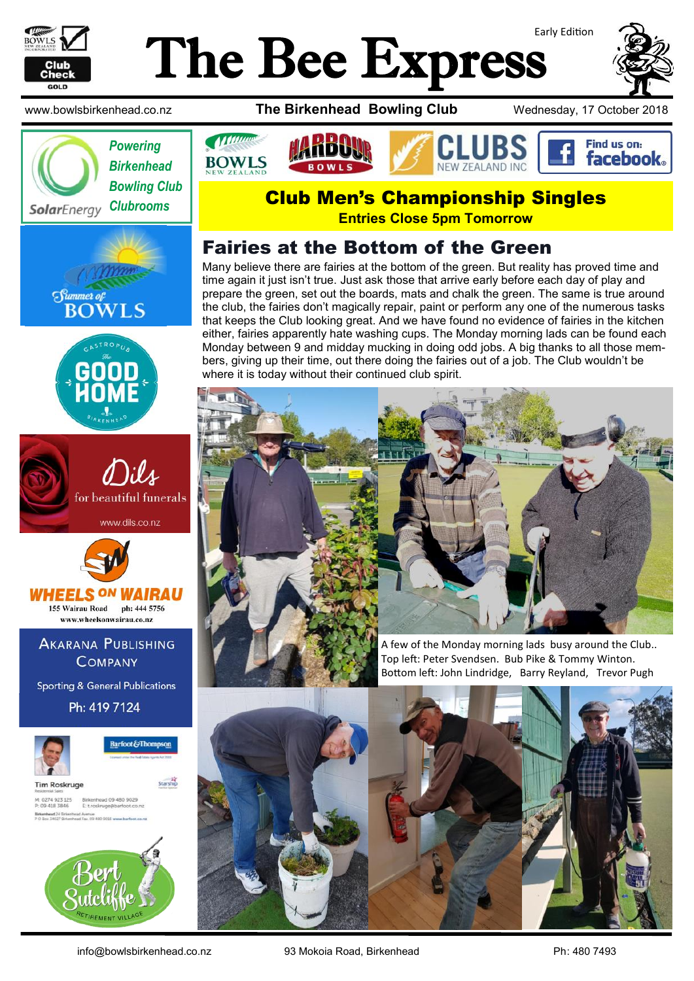

# Early Edition The Bee Express















**AKARANA PUBLISHING COMPANY** 

**Sporting & General Publications** 

Ph: 419 7124



**Barfoot & Thompson** 

**Tim Roskruge** M: 0274 923 125 Birkenhead 09 480 9029<br>P: 09 418 3846 E troskruge@barfoot.co



www.bowlsbirkenhead.co.nz **The Birkenhead Bowling Club** Wednesday, 17 October 2018



## Club Men's Championship Singles

**Entries Close 5pm Tomorrow**

### Fairies at the Bottom of the Green

Many believe there are fairies at the bottom of the green. But reality has proved time and time again it just isn't true. Just ask those that arrive early before each day of play and prepare the green, set out the boards, mats and chalk the green. The same is true around the club, the fairies don't magically repair, paint or perform any one of the numerous tasks that keeps the Club looking great. And we have found no evidence of fairies in the kitchen either, fairies apparently hate washing cups. The Monday morning lads can be found each Monday between 9 and midday mucking in doing odd jobs. A big thanks to all those members, giving up their time, out there doing the fairies out of a job. The Club wouldn't be where it is today without their continued club spirit.



Top left: Peter Svendsen. Bub Pike & Tommy Winton. Bottom left: John Lindridge, Barry Reyland, Trevor Pugh

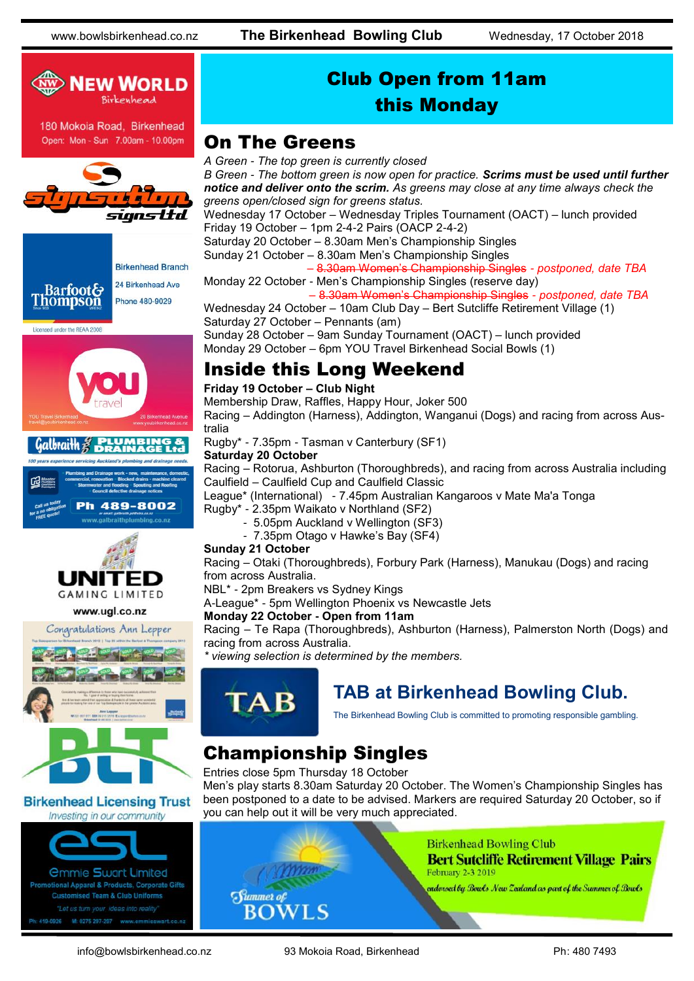

### Club Open from 11am this Monday

### On The Greens

signsttd







#### www.ugl.co.nz



#### **Birkenhead Licensing Trust** Investing in our community



*A Green - The top green is currently closed B Green - The bottom green is now open for practice. Scrims must be used until further notice and deliver onto the scrim. As greens may close at any time always check the greens open/closed sign for greens status.*

Wednesday 17 October – Wednesday Triples Tournament (OACT) – lunch provided Friday 19 October – 1pm 2-4-2 Pairs (OACP 2-4-2)

Saturday 20 October – 8.30am Men's Championship Singles

Sunday 21 October – 8.30am Men's Championship Singles

– 8.30am Women's Championship Singles *- postponed, date TBA*

Monday 22 October - Men's Championship Singles (reserve day)

 – 8.30am Women's Championship Singles *- postponed, date TBA* Wednesday 24 October – 10am Club Day – Bert Sutcliffe Retirement Village (1)

Saturday 27 October – Pennants (am) Sunday 28 October – 9am Sunday Tournament (OACT) – lunch provided

Monday 29 October – 6pm YOU Travel Birkenhead Social Bowls (1)

### Inside this Long Weekend

#### **Friday 19 October – Club Night**

Membership Draw, Raffles, Happy Hour, Joker 500 Racing – Addington (Harness), Addington, Wanganui (Dogs) and racing from across Aus-

tralia

Rugby\* - 7.35pm - Tasman v Canterbury (SF1)

#### **Saturday 20 October**

Racing – Rotorua, Ashburton (Thoroughbreds), and racing from across Australia including Caulfield – Caulfield Cup and Caulfield Classic

League\* (International) - 7.45pm Australian Kangaroos v Mate Ma'a Tonga

- Rugby\* 2.35pm Waikato v Northland (SF2)
	- 5.05pm Auckland v Wellington (SF3)
	- 7.35pm Otago v Hawke's Bay (SF4)

#### **Sunday 21 October**

Racing – Otaki (Thoroughbreds), Forbury Park (Harness), Manukau (Dogs) and racing from across Australia.

NBL\* - 2pm Breakers vs Sydney Kings

A-League\* - 5pm Wellington Phoenix vs Newcastle Jets

#### **Monday 22 October - Open from 11am**

Racing – Te Rapa (Thoroughbreds), Ashburton (Harness), Palmerston North (Dogs) and racing from across Australia.

*\* viewing selection is determined by the members.*



### **TAB at Birkenhead Bowling Club.**

The Birkenhead Bowling Club is committed to promoting responsible gambling.

## Championship Singles

#### Entries close 5pm Thursday 18 October

Men's play starts 8.30am Saturday 20 October. The Women's Championship Singles has been postponed to a date to be advised. Markers are required Saturday 20 October, so if you can help out it will be very much appreciated.



#### **Birkenhead Bowling Club Bert Sutcliffe Retirement Village Pairs** February 2-3 2019

endorsed by Bowls New Zealand as part of the Summer of Bowls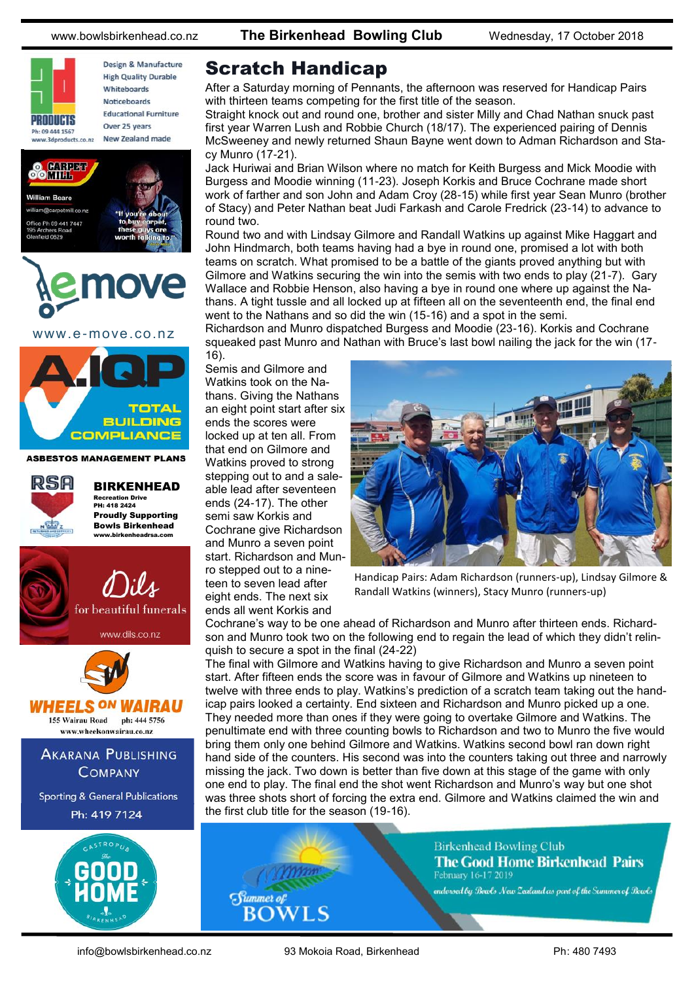

Design & Manufacture **High Quality Durable** Whiteboards **Noticeboards Educational Furniture** Over 25 years New Zealand made





www.e-move.co.nz



**ASBESTOS MANAGEMENT PLANS** 

 $@7.$ 





### Scratch Handicap

After a Saturday morning of Pennants, the afternoon was reserved for Handicap Pairs with thirteen teams competing for the first title of the season.

Straight knock out and round one, brother and sister Milly and Chad Nathan snuck past first year Warren Lush and Robbie Church (18/17). The experienced pairing of Dennis McSweeney and newly returned Shaun Bayne went down to Adman Richardson and Stacy Munro (17-21).

Jack Huriwai and Brian Wilson where no match for Keith Burgess and Mick Moodie with Burgess and Moodie winning (11-23). Joseph Korkis and Bruce Cochrane made short work of farther and son John and Adam Croy (28-15) while first year Sean Munro (brother of Stacy) and Peter Nathan beat Judi Farkash and Carole Fredrick (23-14) to advance to round two.

Round two and with Lindsay Gilmore and Randall Watkins up against Mike Haggart and John Hindmarch, both teams having had a bye in round one, promised a lot with both teams on scratch. What promised to be a battle of the giants proved anything but with Gilmore and Watkins securing the win into the semis with two ends to play (21-7). Gary Wallace and Robbie Henson, also having a bye in round one where up against the Nathans. A tight tussle and all locked up at fifteen all on the seventeenth end, the final end went to the Nathans and so did the win (15-16) and a spot in the semi.

Richardson and Munro dispatched Burgess and Moodie (23-16). Korkis and Cochrane squeaked past Munro and Nathan with Bruce's last bowl nailing the jack for the win (17- 16).

Semis and Gilmore and Watkins took on the Nathans. Giving the Nathans an eight point start after six ends the scores were locked up at ten all. From that end on Gilmore and Watkins proved to strong stepping out to and a saleable lead after seventeen ends (24-17). The other semi saw Korkis and Cochrane give Richardson and Munro a seven point start. Richardson and Munro stepped out to a nineteen to seven lead after eight ends. The next six ends all went Korkis and



Handicap Pairs: Adam Richardson (runners-up), Lindsay Gilmore & Randall Watkins (winners), Stacy Munro (runners-up)

Cochrane's way to be one ahead of Richardson and Munro after thirteen ends. Richardson and Munro took two on the following end to regain the lead of which they didn't relinquish to secure a spot in the final (24-22)

The final with Gilmore and Watkins having to give Richardson and Munro a seven point start. After fifteen ends the score was in favour of Gilmore and Watkins up nineteen to twelve with three ends to play. Watkins's prediction of a scratch team taking out the handicap pairs looked a certainty. End sixteen and Richardson and Munro picked up a one. They needed more than ones if they were going to overtake Gilmore and Watkins. The penultimate end with three counting bowls to Richardson and two to Munro the five would bring them only one behind Gilmore and Watkins. Watkins second bowl ran down right hand side of the counters. His second was into the counters taking out three and narrowly missing the jack. Two down is better than five down at this stage of the game with only one end to play. The final end the shot went Richardson and Munro's way but one shot was three shots short of forcing the extra end. Gilmore and Watkins claimed the win and the first club title for the season (19-16).



**Birkenhead Bowling Club The Good Home Birkenhead Pairs** February 16-17 2019

endorsed by Bowls New Zealand as part of the Summer of Bowls